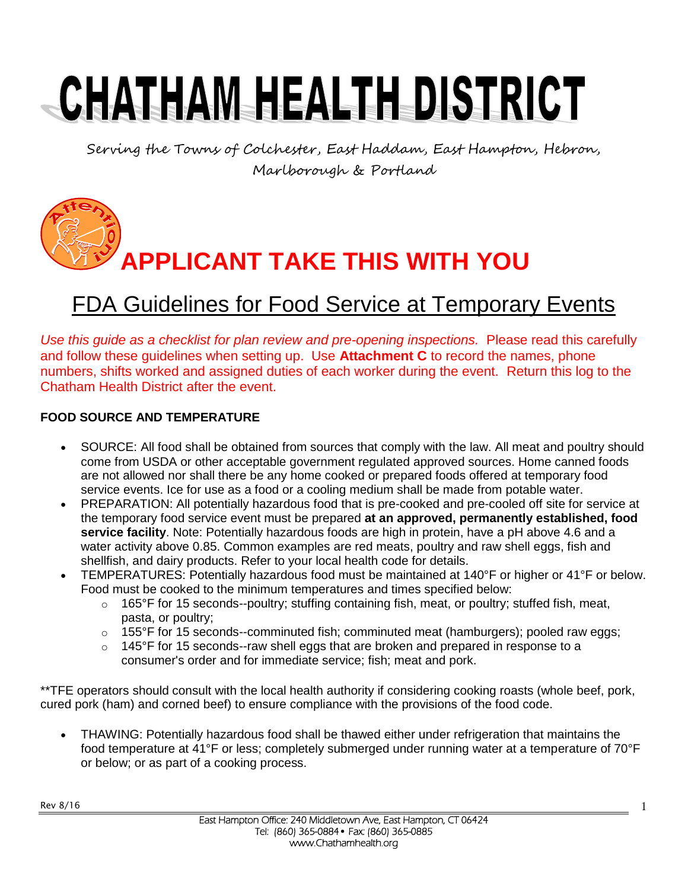# CHATHAM HEALTH DISTRICT

Serving the Towns of Colchester, East Haddam, East Hampton, Hebron, Marlborough & Portland

**APPLICANT TAKE THIS WITH YOU**

### FDA Guidelines for Food Service at Temporary Events

*Use this guide as a checklist for plan review and pre-opening inspections.* Please read this carefully and follow these guidelines when setting up. Use **Attachment C** to record the names, phone numbers, shifts worked and assigned duties of each worker during the event. Return this log to the Chatham Health District after the event.

#### **FOOD SOURCE AND TEMPERATURE**

- SOURCE: All food shall be obtained from sources that comply with the law. All meat and poultry should come from USDA or other acceptable government regulated approved sources. Home canned foods are not allowed nor shall there be any home cooked or prepared foods offered at temporary food service events. Ice for use as a food or a cooling medium shall be made from potable water.
- PREPARATION: All potentially hazardous food that is pre-cooked and pre-cooled off site for service at the temporary food service event must be prepared **at an approved, permanently established, food service facility**. Note: Potentially hazardous foods are high in protein, have a pH above 4.6 and a water activity above 0.85. Common examples are red meats, poultry and raw shell eggs, fish and shellfish, and dairy products. Refer to your local health code for details.
- TEMPERATURES: Potentially hazardous food must be maintained at 140°F or higher or 41°F or below. Food must be cooked to the minimum temperatures and times specified below:
	- $\circ$  165°F for 15 seconds--poultry; stuffing containing fish, meat, or poultry; stuffed fish, meat, pasta, or poultry;
	- $\circ$  155°F for 15 seconds--comminuted fish; comminuted meat (hamburgers); pooled raw eggs;
	- $\circ$  145°F for 15 seconds--raw shell eggs that are broken and prepared in response to a consumer's order and for immediate service; fish; meat and pork.

\*\*TFE operators should consult with the local health authority if considering cooking roasts (whole beef, pork, cured pork (ham) and corned beef) to ensure compliance with the provisions of the food code.

 THAWING: Potentially hazardous food shall be thawed either under refrigeration that maintains the food temperature at 41°F or less; completely submerged under running water at a temperature of 70°F or below; or as part of a cooking process.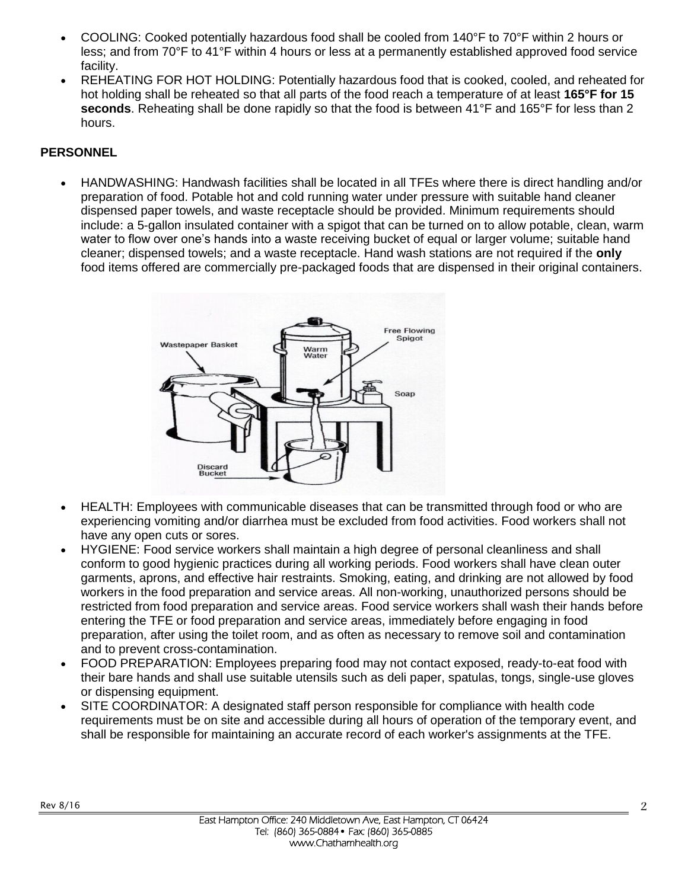- COOLING: Cooked potentially hazardous food shall be cooled from 140°F to 70°F within 2 hours or less; and from 70°F to 41°F within 4 hours or less at a permanently established approved food service facility.
- REHEATING FOR HOT HOLDING: Potentially hazardous food that is cooked, cooled, and reheated for hot holding shall be reheated so that all parts of the food reach a temperature of at least **165°F for 15 seconds**. Reheating shall be done rapidly so that the food is between 41°F and 165°F for less than 2 hours.

#### **PERSONNEL**

 HANDWASHING: Handwash facilities shall be located in all TFEs where there is direct handling and/or preparation of food. Potable hot and cold running water under pressure with suitable hand cleaner dispensed paper towels, and waste receptacle should be provided. Minimum requirements should include: a 5-gallon insulated container with a spigot that can be turned on to allow potable, clean, warm water to flow over one's hands into a waste receiving bucket of equal or larger volume; suitable hand cleaner; dispensed towels; and a waste receptacle. Hand wash stations are not required if the **only** food items offered are commercially pre-packaged foods that are dispensed in their original containers.



- HEALTH: Employees with communicable diseases that can be transmitted through food or who are experiencing vomiting and/or diarrhea must be excluded from food activities. Food workers shall not have any open cuts or sores.
- HYGIENE: Food service workers shall maintain a high degree of personal cleanliness and shall conform to good hygienic practices during all working periods. Food workers shall have clean outer garments, aprons, and effective hair restraints. Smoking, eating, and drinking are not allowed by food workers in the food preparation and service areas. All non-working, unauthorized persons should be restricted from food preparation and service areas. Food service workers shall wash their hands before entering the TFE or food preparation and service areas, immediately before engaging in food preparation, after using the toilet room, and as often as necessary to remove soil and contamination and to prevent cross-contamination.
- FOOD PREPARATION: Employees preparing food may not contact exposed, ready-to-eat food with their bare hands and shall use suitable utensils such as deli paper, spatulas, tongs, single-use gloves or dispensing equipment.
- SITE COORDINATOR: A designated staff person responsible for compliance with health code requirements must be on site and accessible during all hours of operation of the temporary event, and shall be responsible for maintaining an accurate record of each worker's assignments at the TFE.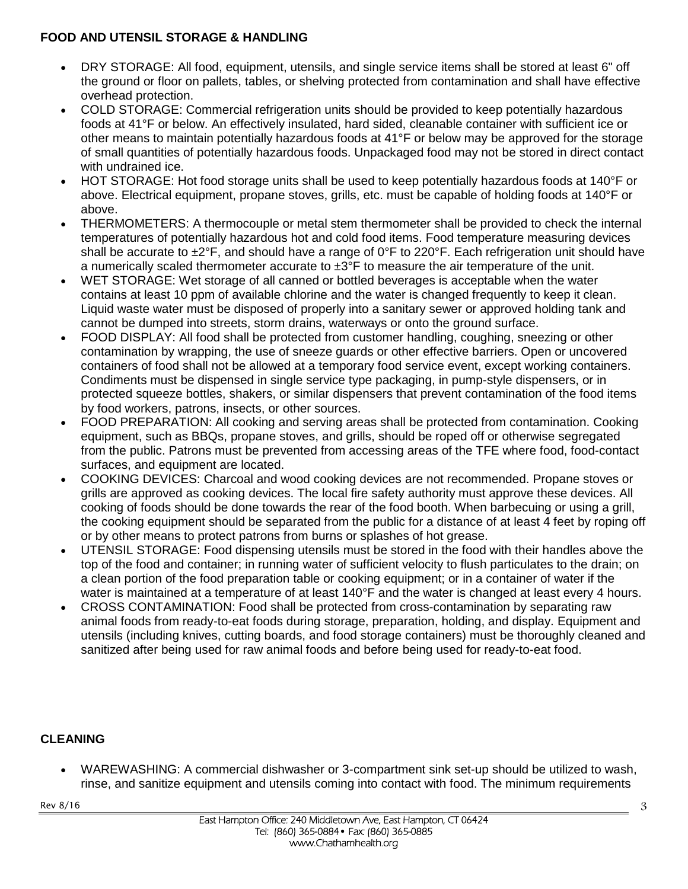#### **FOOD AND UTENSIL STORAGE & HANDLING**

- DRY STORAGE: All food, equipment, utensils, and single service items shall be stored at least 6" off the ground or floor on pallets, tables, or shelving protected from contamination and shall have effective overhead protection.
- COLD STORAGE: Commercial refrigeration units should be provided to keep potentially hazardous foods at 41°F or below. An effectively insulated, hard sided, cleanable container with sufficient ice or other means to maintain potentially hazardous foods at 41°F or below may be approved for the storage of small quantities of potentially hazardous foods. Unpackaged food may not be stored in direct contact with undrained ice.
- HOT STORAGE: Hot food storage units shall be used to keep potentially hazardous foods at 140°F or above. Electrical equipment, propane stoves, grills, etc. must be capable of holding foods at 140°F or above.
- THERMOMETERS: A thermocouple or metal stem thermometer shall be provided to check the internal temperatures of potentially hazardous hot and cold food items. Food temperature measuring devices shall be accurate to  $\pm 2^{\circ}$ F, and should have a range of 0 $^{\circ}$ F to 220 $^{\circ}$ F. Each refrigeration unit should have a numerically scaled thermometer accurate to  $\pm 3^{\circ}F$  to measure the air temperature of the unit.
- WET STORAGE: Wet storage of all canned or bottled beverages is acceptable when the water contains at least 10 ppm of available chlorine and the water is changed frequently to keep it clean. Liquid waste water must be disposed of properly into a sanitary sewer or approved holding tank and cannot be dumped into streets, storm drains, waterways or onto the ground surface.
- FOOD DISPLAY: All food shall be protected from customer handling, coughing, sneezing or other contamination by wrapping, the use of sneeze guards or other effective barriers. Open or uncovered containers of food shall not be allowed at a temporary food service event, except working containers. Condiments must be dispensed in single service type packaging, in pump-style dispensers, or in protected squeeze bottles, shakers, or similar dispensers that prevent contamination of the food items by food workers, patrons, insects, or other sources.
- FOOD PREPARATION: All cooking and serving areas shall be protected from contamination. Cooking equipment, such as BBQs, propane stoves, and grills, should be roped off or otherwise segregated from the public. Patrons must be prevented from accessing areas of the TFE where food, food-contact surfaces, and equipment are located.
- COOKING DEVICES: Charcoal and wood cooking devices are not recommended. Propane stoves or grills are approved as cooking devices. The local fire safety authority must approve these devices. All cooking of foods should be done towards the rear of the food booth. When barbecuing or using a grill, the cooking equipment should be separated from the public for a distance of at least 4 feet by roping off or by other means to protect patrons from burns or splashes of hot grease.
- UTENSIL STORAGE: Food dispensing utensils must be stored in the food with their handles above the top of the food and container; in running water of sufficient velocity to flush particulates to the drain; on a clean portion of the food preparation table or cooking equipment; or in a container of water if the water is maintained at a temperature of at least 140°F and the water is changed at least every 4 hours.
- CROSS CONTAMINATION: Food shall be protected from cross-contamination by separating raw animal foods from ready-to-eat foods during storage, preparation, holding, and display. Equipment and utensils (including knives, cutting boards, and food storage containers) must be thoroughly cleaned and sanitized after being used for raw animal foods and before being used for ready-to-eat food.

#### **CLEANING**

 WAREWASHING: A commercial dishwasher or 3-compartment sink set-up should be utilized to wash, rinse, and sanitize equipment and utensils coming into contact with food. The minimum requirements

Rev 8/16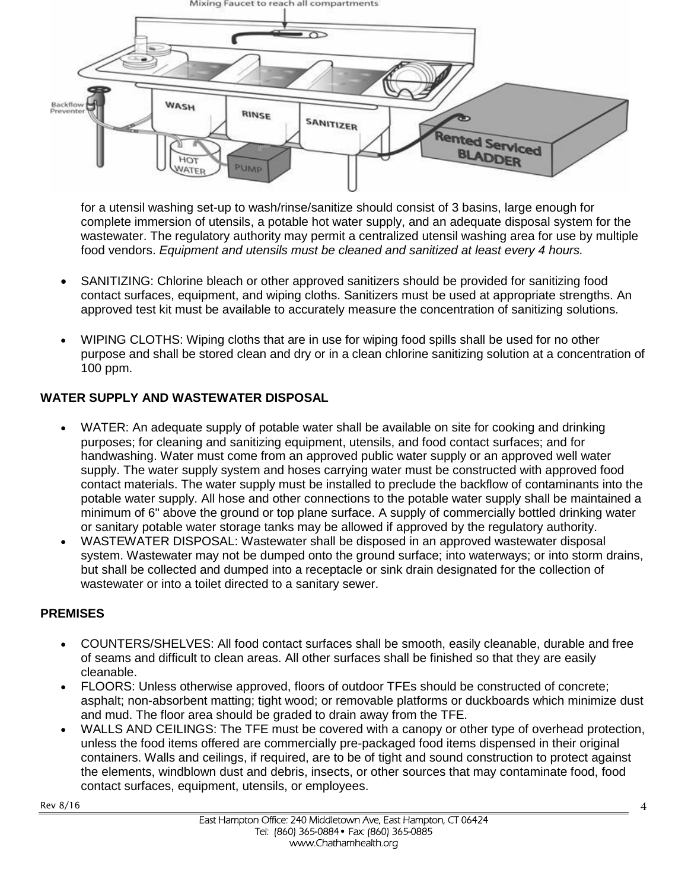

for a utensil washing set-up to wash/rinse/sanitize should consist of 3 basins, large enough for complete immersion of utensils, a potable hot water supply, and an adequate disposal system for the wastewater. The regulatory authority may permit a centralized utensil washing area for use by multiple food vendors. *Equipment and utensils must be cleaned and sanitized at least every 4 hours.*

- SANITIZING: Chlorine bleach or other approved sanitizers should be provided for sanitizing food contact surfaces, equipment, and wiping cloths. Sanitizers must be used at appropriate strengths. An approved test kit must be available to accurately measure the concentration of sanitizing solutions.
- WIPING CLOTHS: Wiping cloths that are in use for wiping food spills shall be used for no other purpose and shall be stored clean and dry or in a clean chlorine sanitizing solution at a concentration of 100 ppm.

#### **WATER SUPPLY AND WASTEWATER DISPOSAL**

- WATER: An adequate supply of potable water shall be available on site for cooking and drinking purposes; for cleaning and sanitizing equipment, utensils, and food contact surfaces; and for handwashing. Water must come from an approved public water supply or an approved well water supply. The water supply system and hoses carrying water must be constructed with approved food contact materials. The water supply must be installed to preclude the backflow of contaminants into the potable water supply. All hose and other connections to the potable water supply shall be maintained a minimum of 6" above the ground or top plane surface. A supply of commercially bottled drinking water or sanitary potable water storage tanks may be allowed if approved by the regulatory authority.
- WASTEWATER DISPOSAL: Wastewater shall be disposed in an approved wastewater disposal system. Wastewater may not be dumped onto the ground surface; into waterways; or into storm drains, but shall be collected and dumped into a receptacle or sink drain designated for the collection of wastewater or into a toilet directed to a sanitary sewer.

#### **PREMISES**

- COUNTERS/SHELVES: All food contact surfaces shall be smooth, easily cleanable, durable and free of seams and difficult to clean areas. All other surfaces shall be finished so that they are easily cleanable.
- FLOORS: Unless otherwise approved, floors of outdoor TFEs should be constructed of concrete; asphalt; non-absorbent matting; tight wood; or removable platforms or duckboards which minimize dust and mud. The floor area should be graded to drain away from the TFE.
- WALLS AND CEILINGS: The TFE must be covered with a canopy or other type of overhead protection, unless the food items offered are commercially pre-packaged food items dispensed in their original containers. Walls and ceilings, if required, are to be of tight and sound construction to protect against the elements, windblown dust and debris, insects, or other sources that may contaminate food, food contact surfaces, equipment, utensils, or employees.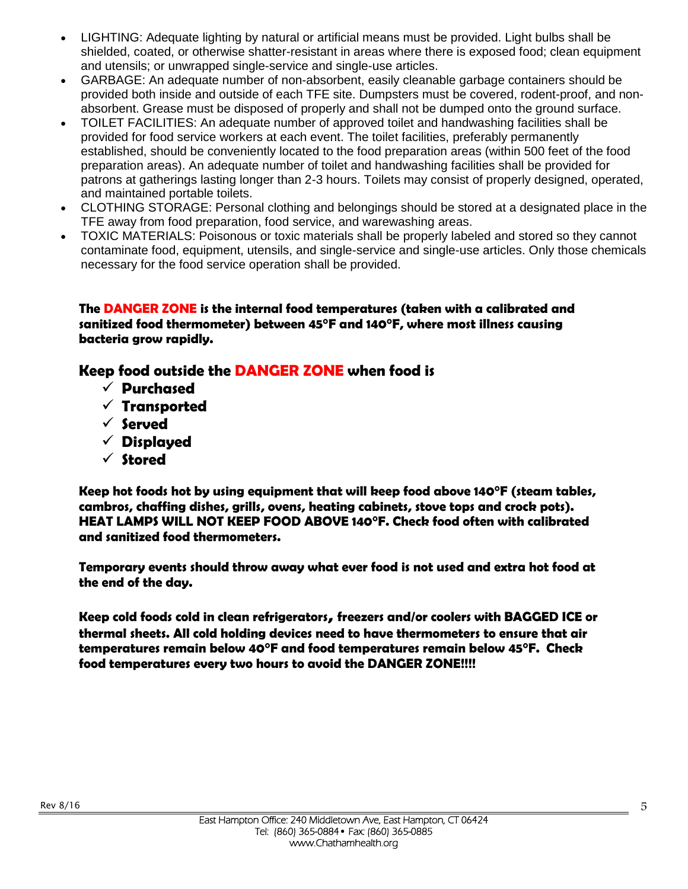- LIGHTING: Adequate lighting by natural or artificial means must be provided. Light bulbs shall be shielded, coated, or otherwise shatter-resistant in areas where there is exposed food; clean equipment and utensils; or unwrapped single-service and single-use articles.
- GARBAGE: An adequate number of non-absorbent, easily cleanable garbage containers should be provided both inside and outside of each TFE site. Dumpsters must be covered, rodent-proof, and nonabsorbent. Grease must be disposed of properly and shall not be dumped onto the ground surface.
- TOILET FACILITIES: An adequate number of approved toilet and handwashing facilities shall be provided for food service workers at each event. The toilet facilities, preferably permanently established, should be conveniently located to the food preparation areas (within 500 feet of the food preparation areas). An adequate number of toilet and handwashing facilities shall be provided for patrons at gatherings lasting longer than 2-3 hours. Toilets may consist of properly designed, operated, and maintained portable toilets.
- CLOTHING STORAGE: Personal clothing and belongings should be stored at a designated place in the TFE away from food preparation, food service, and warewashing areas.
- TOXIC MATERIALS: Poisonous or toxic materials shall be properly labeled and stored so they cannot contaminate food, equipment, utensils, and single-service and single-use articles. Only those chemicals necessary for the food service operation shall be provided.

**The DANGER ZONE is the internal food temperatures (taken with a calibrated and sanitized food thermometer) between 45°F and 140°F, where most illness causing bacteria grow rapidly.**

#### **Keep food outside the DANGER ZONE when food is**

- **Purchased**
- **Transported**
- **Served**
- **Displayed**
- **Stored**

**Keep hot foods hot by using equipment that will keep food above 140°F (steam tables, cambros, chaffing dishes, grills, ovens, heating cabinets, stove tops and crock pots). HEAT LAMPS WILL NOT KEEP FOOD ABOVE 140°F. Check food often with calibrated and sanitized food thermometers.** 

**Temporary events should throw away what ever food is not used and extra hot food at the end of the day.**

**Keep cold foods cold in clean refrigerators, freezers and/or coolers with BAGGED ICE or thermal sheets. All cold holding devices need to have thermometers to ensure that air temperatures remain below 40°F and food temperatures remain below 45°F. Check food temperatures every two hours to avoid the DANGER ZONE!!!!**